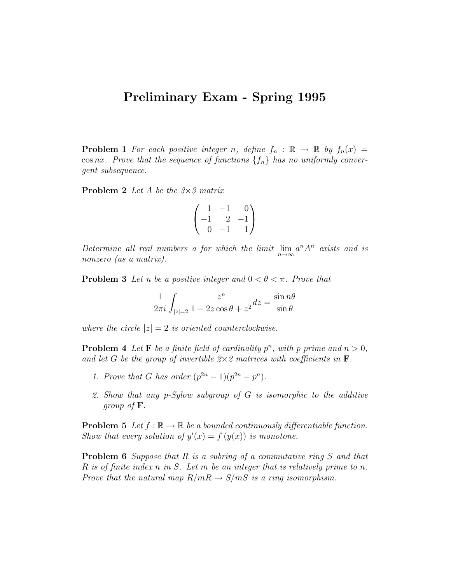## Preliminary Exam - Spring 1995

**Problem 1** For each positive integer n, define  $f_n : \mathbb{R} \to \mathbb{R}$  by  $f_n(x) =$ cos nx. Prove that the sequence of functions  $\{f_n\}$  has no uniformly convergent subsequence.

**Problem 2** Let A be the  $3 \times 3$  matrix

$$
\begin{pmatrix} 1 & -1 & 0 \ -1 & 2 & -1 \ 0 & -1 & 1 \end{pmatrix}
$$

Determine all real numbers a for which the limit  $\lim_{n\to\infty} a^n A^n$  exists and is nonzero (as a matrix).

**Problem 3** Let n be a positive integer and  $0 < \theta < \pi$ . Prove that

$$
\frac{1}{2\pi i} \int_{|z|=2} \frac{z^n}{1 - 2z \cos \theta + z^2} dz = \frac{\sin n\theta}{\sin \theta}
$$

where the circle  $|z|=2$  is oriented counterclockwise.

**Problem 4** Let **F** be a finite field of cardinality  $p^n$ , with p prime and  $n > 0$ , and let G be the group of invertible  $2 \times 2$  matrices with coefficients in **F**.

- 1. Prove that G has order  $(p^{2n}-1)(p^{2n}-p^n)$ .
- 2. Show that any p-Sylow subgroup of G is isomorphic to the additive group of F.

**Problem 5** Let  $f : \mathbb{R} \to \mathbb{R}$  be a bounded continuously differentiable function. Show that every solution of  $y'(x) = f(y(x))$  is monotone.

**Problem 6** Suppose that  $R$  is a subring of a commutative ring  $S$  and that R is of finite index n in S. Let m be an integer that is relatively prime to n. Prove that the natural map  $R/mR \rightarrow S/mS$  is a ring isomorphism.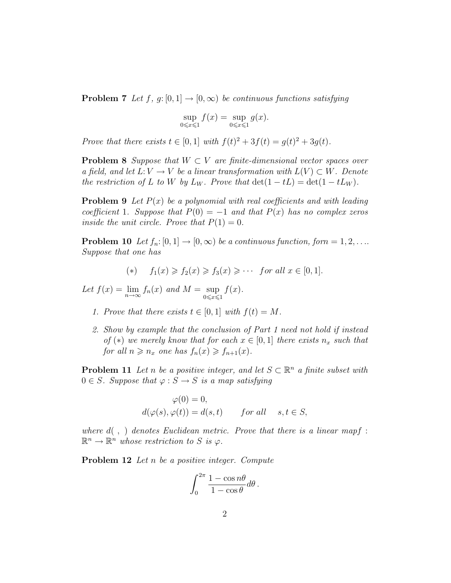**Problem 7** Let f, g: [0, 1]  $\rightarrow$  [0,  $\infty$ ) be continuous functions satisfying

$$
\sup_{0 \leq x \leq 1} f(x) = \sup_{0 \leq x \leq 1} g(x).
$$

Prove that there exists  $t \in [0, 1]$  with  $f(t)^{2} + 3f(t) = g(t)^{2} + 3g(t)$ .

**Problem 8** Suppose that  $W \subset V$  are finite-dimensional vector spaces over a field, and let  $L: V \to V$  be a linear transformation with  $L(V) \subset W$ . Denote the restriction of L to W by  $L_W$ . Prove that  $\det(1 - tL) = \det(1 - tL_W)$ .

**Problem 9** Let  $P(x)$  be a polynomial with real coefficients and with leading coefficient 1. Suppose that  $P(0) = -1$  and that  $P(x)$  has no complex zeros inside the unit circle. Prove that  $P(1) = 0$ .

**Problem 10** Let  $f_n: [0, 1] \to [0, \infty)$  be a continuous function, form = 1, 2, ... Suppose that one has

$$
(*) \quad f_1(x) \geqslant f_2(x) \geqslant f_3(x) \geqslant \cdots \quad \text{for all } x \in [0, 1].
$$

Let  $f(x) = \lim_{n \to \infty} f_n(x)$  and  $M = \sup_{0 \le x \le 1}$  $f(x)$ .

- 1. Prove that there exists  $t \in [0,1]$  with  $f(t) = M$ .
- 2. Show by example that the conclusion of Part 1 need not hold if instead of (\*) we merely know that for each  $x \in [0,1]$  there exists  $n_x$  such that for all  $n \geq n_x$  one has  $f_n(x) \geq f_{n+1}(x)$ .

**Problem 11** Let n be a positive integer, and let  $S \subset \mathbb{R}^n$  a finite subset with  $0 \in S$ . Suppose that  $\varphi : S \to S$  is a map satisfying

$$
\varphi(0) = 0,
$$
  
\n
$$
d(\varphi(s), \varphi(t)) = d(s, t) \quad \text{for all} \quad s, t \in S,
$$

where  $d( , )$  denotes Euclidean metric. Prove that there is a linear mapf :  $\mathbb{R}^n \to \mathbb{R}^n$  whose restriction to S is  $\varphi$ .

Problem 12 Let n be a positive integer. Compute

$$
\int_0^{2\pi} \frac{1 - \cos n\theta}{1 - \cos \theta} d\theta.
$$